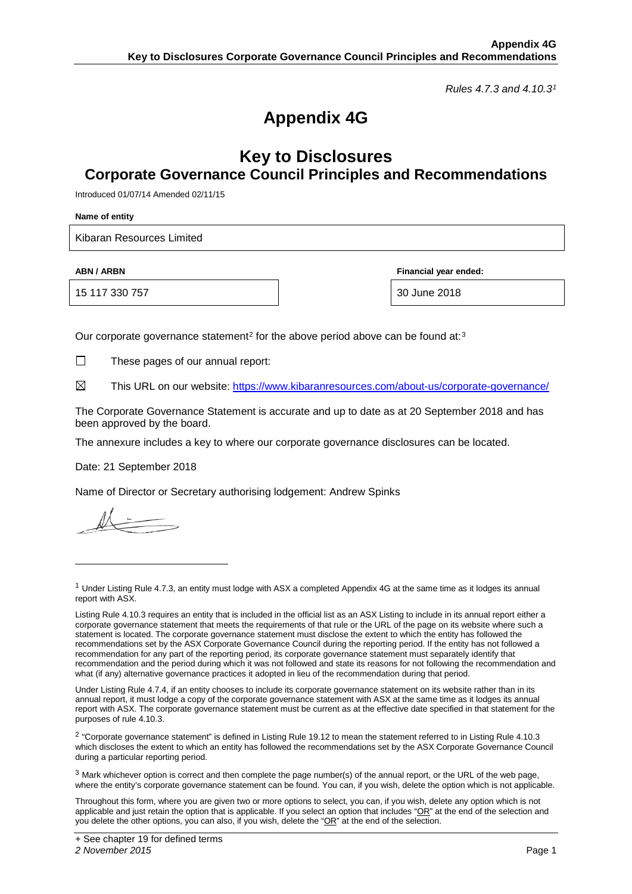*Rules 4.7.3 and 4.10.3[1](#page-0-0)*

# **Appendix 4G**

### **Key to Disclosures Corporate Governance Council Principles and Recommendations**

Introduced 01/07/14 Amended 02/11/15

**Name of entity**

Kibaran Resources Limited

15 117 330 757 30 June 2018

**ABN / ARBN Financial year ended:**

Our corporate governance statement<sup>[2](#page-0-1)</sup> for the above period above can be found at:<sup>[3](#page-0-2)</sup>

 $\Box$ These pages of our annual report:

⊠ This URL on our website: <https://www.kibaranresources.com/about-us/corporate-governance/>

The Corporate Governance Statement is accurate and up to date as at 20 September 2018 and has been approved by the board.

The annexure includes a key to where our corporate governance disclosures can be located.

Date: 21 September 2018

Name of Director or Secretary authorising lodgement: Andrew Spinks

-

Under Listing Rule 4.7.4, if an entity chooses to include its corporate governance statement on its website rather than in its annual report, it must lodge a copy of the corporate governance statement with ASX at the same time as it lodges its annual report with ASX. The corporate governance statement must be current as at the effective date specified in that statement for the purposes of rule 4.10.3.

<span id="page-0-1"></span><sup>2</sup> "Corporate governance statement" is defined in Listing Rule 19.12 to mean the statement referred to in Listing Rule 4.10.3 which discloses the extent to which an entity has followed the recommendations set by the ASX Corporate Governance Council during a particular reporting period.

<span id="page-0-2"></span> $3$  Mark whichever option is correct and then complete the page number(s) of the annual report, or the URL of the web page, where the entity's corporate governance statement can be found. You can, if you wish, delete the option which is not applicable.

Throughout this form, where you are given two or more options to select, you can, if you wish, delete any option which is not applicable and just retain the option that is applicable. If you select an option that includes "OR" at the end of the selection and you delete the other options, you can also, if you wish, delete the "OR" at the end of the selection.

<span id="page-0-0"></span> $1$  Under Listing Rule 4.7.3, an entity must lodge with ASX a completed Appendix 4G at the same time as it lodges its annual report with ASX.

Listing Rule 4.10.3 requires an entity that is included in the official list as an ASX Listing to include in its annual report either a corporate governance statement that meets the requirements of that rule or the URL of the page on its website where such a statement is located. The corporate governance statement must disclose the extent to which the entity has followed the recommendations set by the ASX Corporate Governance Council during the reporting period. If the entity has not followed a recommendation for any part of the reporting period, its corporate governance statement must separately identify that recommendation and the period during which it was not followed and state its reasons for not following the recommendation and what (if any) alternative governance practices it adopted in lieu of the recommendation during that period.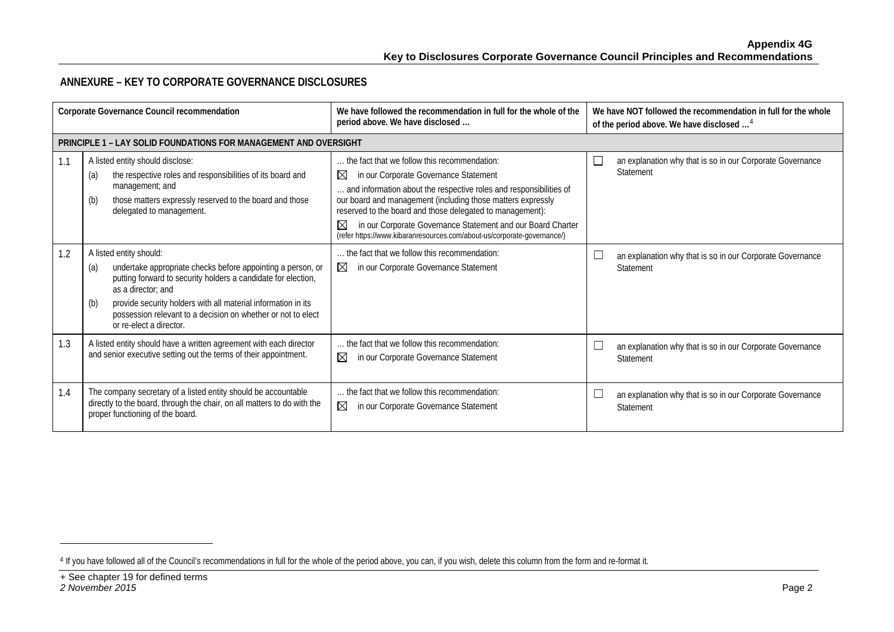### <span id="page-1-0"></span>**ANNEXURE – KEY TO CORPORATE GOVERNANCE DISCLOSURES**

| Corporate Governance Council recommendation |                                                                                                                                                                                                                                                                                                                                                         | We have followed the recommendation in full for the whole of the<br>period above. We have disclosed                                                                                                                                                                                                                                                                                                                                                   | We have NOT followed the recommendation in full for the whole<br>of the period above. We have disclosed <sup>4</sup> |
|---------------------------------------------|---------------------------------------------------------------------------------------------------------------------------------------------------------------------------------------------------------------------------------------------------------------------------------------------------------------------------------------------------------|-------------------------------------------------------------------------------------------------------------------------------------------------------------------------------------------------------------------------------------------------------------------------------------------------------------------------------------------------------------------------------------------------------------------------------------------------------|----------------------------------------------------------------------------------------------------------------------|
|                                             | <b>PRINCIPLE 1 - LAY SOLID FOUNDATIONS FOR MANAGEMENT AND OVERSIGHT</b>                                                                                                                                                                                                                                                                                 |                                                                                                                                                                                                                                                                                                                                                                                                                                                       |                                                                                                                      |
| 1.1                                         | A listed entity should disclose:<br>the respective roles and responsibilities of its board and<br>(a)<br>management; and<br>those matters expressly reserved to the board and those<br>(b)<br>delegated to management.                                                                                                                                  | the fact that we follow this recommendation:<br>⊠<br>in our Corporate Governance Statement<br>and information about the respective roles and responsibilities of<br>our board and management (including those matters expressly<br>reserved to the board and those delegated to management):<br>in our Corporate Governance Statement and our Board Charter<br>$\boxtimes$<br>(refer https://www.kibaranresources.com/about-us/corporate-governance/) | an explanation why that is so in our Corporate Governance<br>$\overline{\phantom{0}}$<br>Statement                   |
| 1.2                                         | A listed entity should:<br>undertake appropriate checks before appointing a person, or<br>(a)<br>putting forward to security holders a candidate for election,<br>as a director; and<br>provide security holders with all material information in its<br>(b)<br>possession relevant to a decision on whether or not to elect<br>or re-elect a director. | the fact that we follow this recommendation:<br>⊠<br>in our Corporate Governance Statement                                                                                                                                                                                                                                                                                                                                                            | an explanation why that is so in our Corporate Governance<br>Statement                                               |
| 1.3                                         | A listed entity should have a written agreement with each director<br>and senior executive setting out the terms of their appointment.                                                                                                                                                                                                                  | the fact that we follow this recommendation:<br>$\boxtimes$<br>in our Corporate Governance Statement                                                                                                                                                                                                                                                                                                                                                  | L<br>an explanation why that is so in our Corporate Governance<br>Statement                                          |
| 1.4                                         | The company secretary of a listed entity should be accountable<br>directly to the board, through the chair, on all matters to do with the<br>proper functioning of the board.                                                                                                                                                                           | the fact that we follow this recommendation:<br>⊠<br>in our Corporate Governance Statement                                                                                                                                                                                                                                                                                                                                                            | $\Box$<br>an explanation why that is so in our Corporate Governance<br>Statement                                     |

-

<sup>4</sup> If you have followed all of the Council's recommendations in full for the whole of the period above, you can, if you wish, delete this column from the form and re-format it.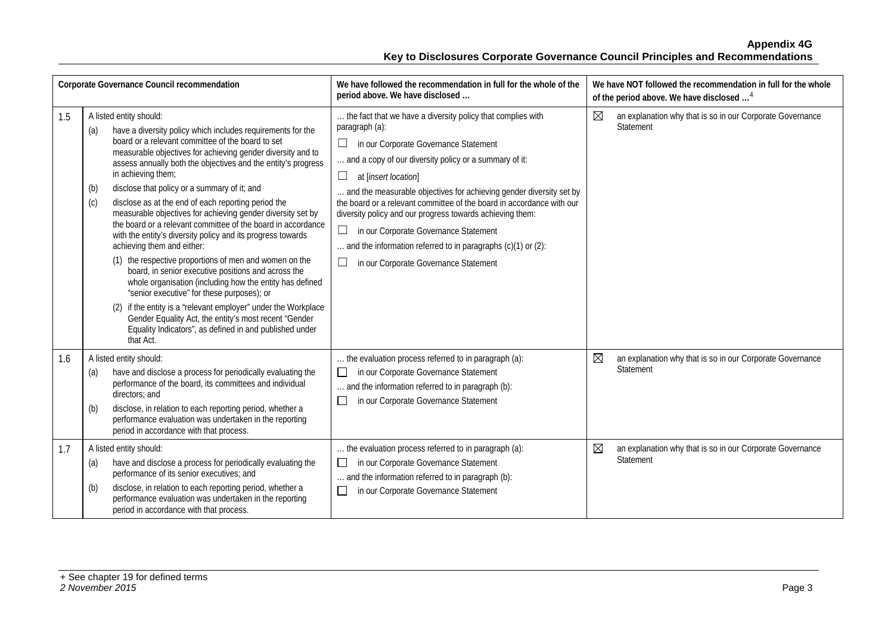| Corporate Governance Council recommendation |                                                                                                                                                                                                                                                                                                                                                                                                                                                                                                                                                                                                                                                                                                                                                                                                                                                                                                                                                                                                                                                                                         | We have followed the recommendation in full for the whole of the<br>period above. We have disclosed                                                                                                                                                                                                                                                                                                                                                                                                                                                                                                             | We have NOT followed the recommendation in full for the whole<br>of the period above. We have disclosed <sup>4</sup> |
|---------------------------------------------|-----------------------------------------------------------------------------------------------------------------------------------------------------------------------------------------------------------------------------------------------------------------------------------------------------------------------------------------------------------------------------------------------------------------------------------------------------------------------------------------------------------------------------------------------------------------------------------------------------------------------------------------------------------------------------------------------------------------------------------------------------------------------------------------------------------------------------------------------------------------------------------------------------------------------------------------------------------------------------------------------------------------------------------------------------------------------------------------|-----------------------------------------------------------------------------------------------------------------------------------------------------------------------------------------------------------------------------------------------------------------------------------------------------------------------------------------------------------------------------------------------------------------------------------------------------------------------------------------------------------------------------------------------------------------------------------------------------------------|----------------------------------------------------------------------------------------------------------------------|
| 1.5                                         | A listed entity should:<br>have a diversity policy which includes requirements for the<br>(a)<br>board or a relevant committee of the board to set<br>measurable objectives for achieving gender diversity and to<br>assess annually both the objectives and the entity's progress<br>in achieving them;<br>disclose that policy or a summary of it; and<br>(b)<br>disclose as at the end of each reporting period the<br>(c)<br>measurable objectives for achieving gender diversity set by<br>the board or a relevant committee of the board in accordance<br>with the entity's diversity policy and its progress towards<br>achieving them and either:<br>(1) the respective proportions of men and women on the<br>board, in senior executive positions and across the<br>whole organisation (including how the entity has defined<br>"senior executive" for these purposes); or<br>(2) if the entity is a "relevant employer" under the Workplace<br>Gender Equality Act, the entity's most recent "Gender<br>Equality Indicators", as defined in and published under<br>that Act. | the fact that we have a diversity policy that complies with<br>paragraph (a):<br>$\Box$<br>in our Corporate Governance Statement<br>and a copy of our diversity policy or a summary of it:<br>$\Box$<br>at [insert location]<br>and the measurable objectives for achieving gender diversity set by<br>the board or a relevant committee of the board in accordance with our<br>diversity policy and our progress towards achieving them:<br>$\Box$<br>in our Corporate Governance Statement<br>and the information referred to in paragraphs (c)(1) or (2):<br>$\Box$<br>in our Corporate Governance Statement | ⊠<br>an explanation why that is so in our Corporate Governance<br>Statement                                          |
| 1.6                                         | A listed entity should:<br>have and disclose a process for periodically evaluating the<br>(a)<br>performance of the board, its committees and individual<br>directors: and<br>disclose, in relation to each reporting period, whether a<br>(b)<br>performance evaluation was undertaken in the reporting<br>period in accordance with that process.                                                                                                                                                                                                                                                                                                                                                                                                                                                                                                                                                                                                                                                                                                                                     | the evaluation process referred to in paragraph (a):<br>in our Corporate Governance Statement<br>$\Box$<br>and the information referred to in paragraph (b):<br>in our Corporate Governance Statement<br>$\Box$                                                                                                                                                                                                                                                                                                                                                                                                 | ⊠<br>an explanation why that is so in our Corporate Governance<br>Statement                                          |
| 1.7                                         | A listed entity should:<br>have and disclose a process for periodically evaluating the<br>(a)<br>performance of its senior executives; and<br>disclose, in relation to each reporting period, whether a<br>(b)<br>performance evaluation was undertaken in the reporting<br>period in accordance with that process.                                                                                                                                                                                                                                                                                                                                                                                                                                                                                                                                                                                                                                                                                                                                                                     | the evaluation process referred to in paragraph (a):<br>in our Corporate Governance Statement<br>$\Box$<br>and the information referred to in paragraph (b):<br>in our Corporate Governance Statement<br>$\Box$                                                                                                                                                                                                                                                                                                                                                                                                 | $\boxtimes$<br>an explanation why that is so in our Corporate Governance<br>Statement                                |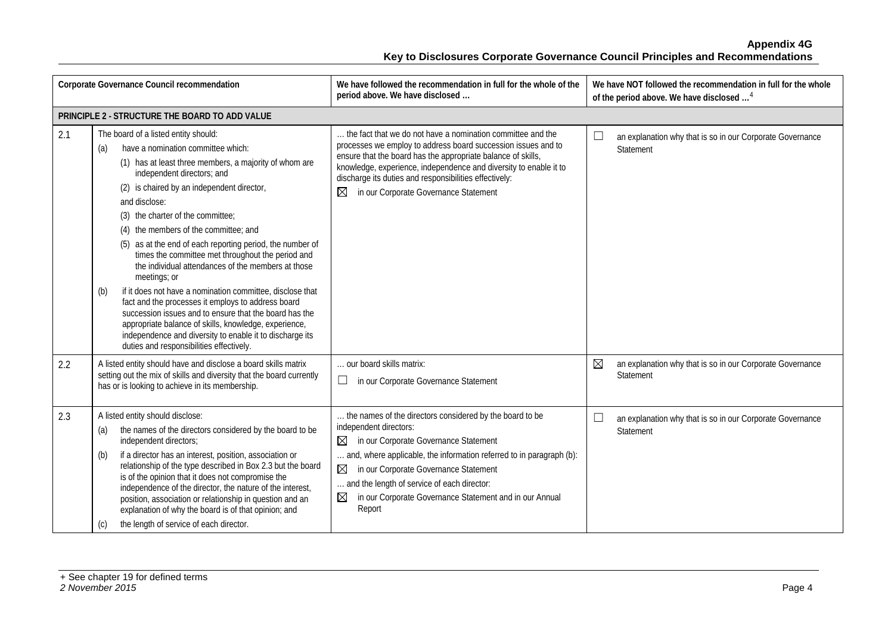|                                                | Corporate Governance Council recommendation                                                                                                                                                                                                                                                                                                                                                                                                                                                                                                                                                                                                                                                                                                                                                                                                                         | We have followed the recommendation in full for the whole of the<br>period above. We have disclosed                                                                                                                                                                                                                                                                                       | We have NOT followed the recommendation in full for the whole<br>of the period above. We have disclosed <sup>4</sup> |  |
|------------------------------------------------|---------------------------------------------------------------------------------------------------------------------------------------------------------------------------------------------------------------------------------------------------------------------------------------------------------------------------------------------------------------------------------------------------------------------------------------------------------------------------------------------------------------------------------------------------------------------------------------------------------------------------------------------------------------------------------------------------------------------------------------------------------------------------------------------------------------------------------------------------------------------|-------------------------------------------------------------------------------------------------------------------------------------------------------------------------------------------------------------------------------------------------------------------------------------------------------------------------------------------------------------------------------------------|----------------------------------------------------------------------------------------------------------------------|--|
| PRINCIPLE 2 - STRUCTURE THE BOARD TO ADD VALUE |                                                                                                                                                                                                                                                                                                                                                                                                                                                                                                                                                                                                                                                                                                                                                                                                                                                                     |                                                                                                                                                                                                                                                                                                                                                                                           |                                                                                                                      |  |
| 2.1                                            | The board of a listed entity should:<br>have a nomination committee which:<br>(a)<br>(1) has at least three members, a majority of whom are<br>independent directors; and<br>(2) is chaired by an independent director,<br>and disclose:<br>(3) the charter of the committee;<br>(4) the members of the committee; and<br>(5) as at the end of each reporting period, the number of<br>times the committee met throughout the period and<br>the individual attendances of the members at those<br>meetings; or<br>if it does not have a nomination committee, disclose that<br>(b)<br>fact and the processes it employs to address board<br>succession issues and to ensure that the board has the<br>appropriate balance of skills, knowledge, experience,<br>independence and diversity to enable it to discharge its<br>duties and responsibilities effectively. | the fact that we do not have a nomination committee and the<br>processes we employ to address board succession issues and to<br>ensure that the board has the appropriate balance of skills,<br>knowledge, experience, independence and diversity to enable it to<br>discharge its duties and responsibilities effectively:<br>in our Corporate Governance Statement<br>⊠                 | $\Box$<br>an explanation why that is so in our Corporate Governance<br>Statement                                     |  |
| 2.2                                            | A listed entity should have and disclose a board skills matrix<br>setting out the mix of skills and diversity that the board currently<br>has or is looking to achieve in its membership.                                                                                                                                                                                                                                                                                                                                                                                                                                                                                                                                                                                                                                                                           | our board skills matrix:<br>in our Corporate Governance Statement                                                                                                                                                                                                                                                                                                                         | ⊠<br>an explanation why that is so in our Corporate Governance<br>Statement                                          |  |
| 2.3                                            | A listed entity should disclose:<br>the names of the directors considered by the board to be<br>(a)<br>independent directors;<br>(b)<br>if a director has an interest, position, association or<br>relationship of the type described in Box 2.3 but the board<br>is of the opinion that it does not compromise the<br>independence of the director, the nature of the interest,<br>position, association or relationship in question and an<br>explanation of why the board is of that opinion; and<br>the length of service of each director.<br>$\left( 0 \right)$                                                                                                                                                                                                                                                                                               | the names of the directors considered by the board to be<br>independent directors:<br>in our Corporate Governance Statement<br>$\boxtimes$<br>and, where applicable, the information referred to in paragraph (b):<br>⊠<br>in our Corporate Governance Statement<br>and the length of service of each director:<br>in our Corporate Governance Statement and in our Annual<br>⊠<br>Report | ⊔<br>an explanation why that is so in our Corporate Governance<br>Statement                                          |  |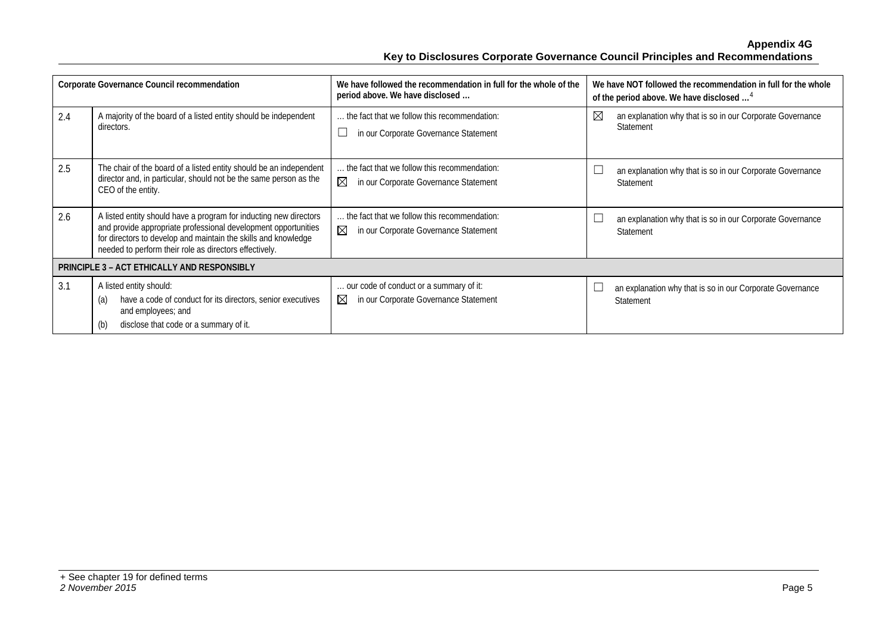|                                                    | Corporate Governance Council recommendation                                                                                                                                                                                                                     | We have followed the recommendation in full for the whole of the<br>period above. We have disclosed  | We have NOT followed the recommendation in full for the whole<br>of the period above. We have disclosed <sup>4</sup> |
|----------------------------------------------------|-----------------------------------------------------------------------------------------------------------------------------------------------------------------------------------------------------------------------------------------------------------------|------------------------------------------------------------------------------------------------------|----------------------------------------------------------------------------------------------------------------------|
| 2.4                                                | A majority of the board of a listed entity should be independent<br>directors.                                                                                                                                                                                  | the fact that we follow this recommendation:<br>in our Corporate Governance Statement                | $\boxtimes$<br>an explanation why that is so in our Corporate Governance<br><b>Statement</b>                         |
| 2.5                                                | The chair of the board of a listed entity should be an independent<br>director and, in particular, should not be the same person as the<br>CEO of the entity.                                                                                                   | the fact that we follow this recommendation:<br>$\boxtimes$<br>in our Corporate Governance Statement | an explanation why that is so in our Corporate Governance<br>Statement                                               |
| 2.6                                                | A listed entity should have a program for inducting new directors<br>and provide appropriate professional development opportunities<br>for directors to develop and maintain the skills and knowledge<br>needed to perform their role as directors effectively. | the fact that we follow this recommendation:<br>⊠<br>in our Corporate Governance Statement           | an explanation why that is so in our Corporate Governance<br>Statement                                               |
| <b>PRINCIPLE 3 - ACT ETHICALLY AND RESPONSIBLY</b> |                                                                                                                                                                                                                                                                 |                                                                                                      |                                                                                                                      |
| 3.1                                                | A listed entity should:<br>have a code of conduct for its directors, senior executives<br>(a)<br>and employees; and<br>disclose that code or a summary of it.<br>(b)                                                                                            | our code of conduct or a summary of it:<br>$\boxtimes$<br>in our Corporate Governance Statement      | an explanation why that is so in our Corporate Governance<br>Statement                                               |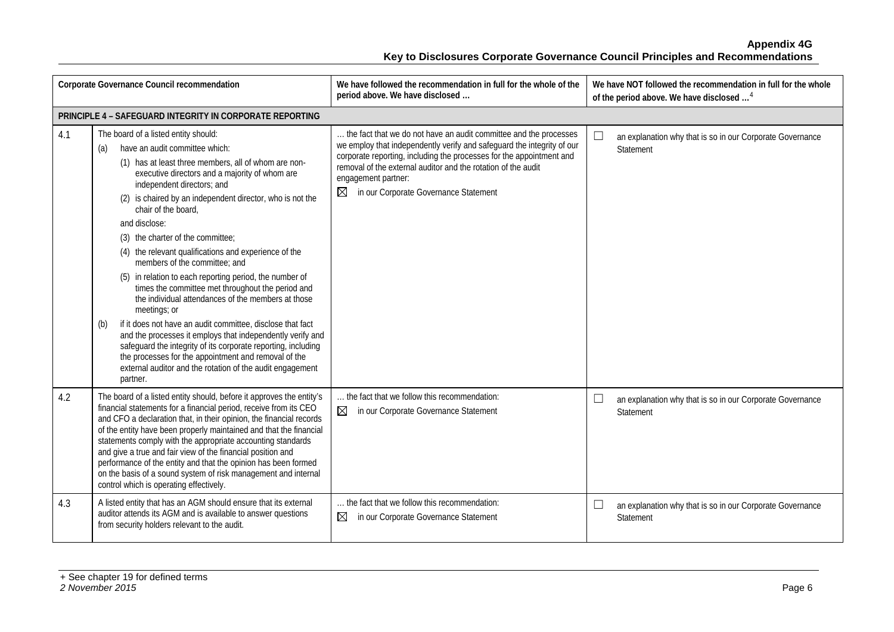| Corporate Governance Council recommendation |                                                                                                                                                                                                                                                                                                                                                                                                                                                                                                                                                                                                                                                                                                                                                                                                                                                                                                                                                                                      | We have followed the recommendation in full for the whole of the<br>period above. We have disclosed                                                                                                                                                                                                                                                       | We have NOT followed the recommendation in full for the whole<br>of the period above. We have disclosed <sup>4</sup> |
|---------------------------------------------|--------------------------------------------------------------------------------------------------------------------------------------------------------------------------------------------------------------------------------------------------------------------------------------------------------------------------------------------------------------------------------------------------------------------------------------------------------------------------------------------------------------------------------------------------------------------------------------------------------------------------------------------------------------------------------------------------------------------------------------------------------------------------------------------------------------------------------------------------------------------------------------------------------------------------------------------------------------------------------------|-----------------------------------------------------------------------------------------------------------------------------------------------------------------------------------------------------------------------------------------------------------------------------------------------------------------------------------------------------------|----------------------------------------------------------------------------------------------------------------------|
|                                             | PRINCIPLE 4 - SAFEGUARD INTEGRITY IN CORPORATE REPORTING                                                                                                                                                                                                                                                                                                                                                                                                                                                                                                                                                                                                                                                                                                                                                                                                                                                                                                                             |                                                                                                                                                                                                                                                                                                                                                           |                                                                                                                      |
| 4.1                                         | The board of a listed entity should:<br>have an audit committee which:<br>(a)<br>(1) has at least three members, all of whom are non-<br>executive directors and a majority of whom are<br>independent directors; and<br>(2) is chaired by an independent director, who is not the<br>chair of the board,<br>and disclose:<br>(3) the charter of the committee;<br>(4) the relevant qualifications and experience of the<br>members of the committee; and<br>(5) in relation to each reporting period, the number of<br>times the committee met throughout the period and<br>the individual attendances of the members at those<br>meetings; or<br>if it does not have an audit committee, disclose that fact<br>(b)<br>and the processes it employs that independently verify and<br>safeguard the integrity of its corporate reporting, including<br>the processes for the appointment and removal of the<br>external auditor and the rotation of the audit engagement<br>partner. | the fact that we do not have an audit committee and the processes<br>we employ that independently verify and safeguard the integrity of our<br>corporate reporting, including the processes for the appointment and<br>removal of the external auditor and the rotation of the audit<br>engagement partner:<br>in our Corporate Governance Statement<br>⊠ | an explanation why that is so in our Corporate Governance<br>Statement                                               |
| 4.2                                         | The board of a listed entity should, before it approves the entity's<br>financial statements for a financial period, receive from its CEO<br>and CFO a declaration that, in their opinion, the financial records<br>of the entity have been properly maintained and that the financial<br>statements comply with the appropriate accounting standards<br>and give a true and fair view of the financial position and<br>performance of the entity and that the opinion has been formed<br>on the basis of a sound system of risk management and internal<br>control which is operating effectively.                                                                                                                                                                                                                                                                                                                                                                                  | the fact that we follow this recommendation:<br>$\boxtimes$<br>in our Corporate Governance Statement                                                                                                                                                                                                                                                      | $\Box$<br>an explanation why that is so in our Corporate Governance<br>Statement                                     |
| 4.3                                         | A listed entity that has an AGM should ensure that its external<br>auditor attends its AGM and is available to answer questions<br>from security holders relevant to the audit.                                                                                                                                                                                                                                                                                                                                                                                                                                                                                                                                                                                                                                                                                                                                                                                                      | the fact that we follow this recommendation:<br>in our Corporate Governance Statement<br>⊠                                                                                                                                                                                                                                                                | $\Box$<br>an explanation why that is so in our Corporate Governance<br>Statement                                     |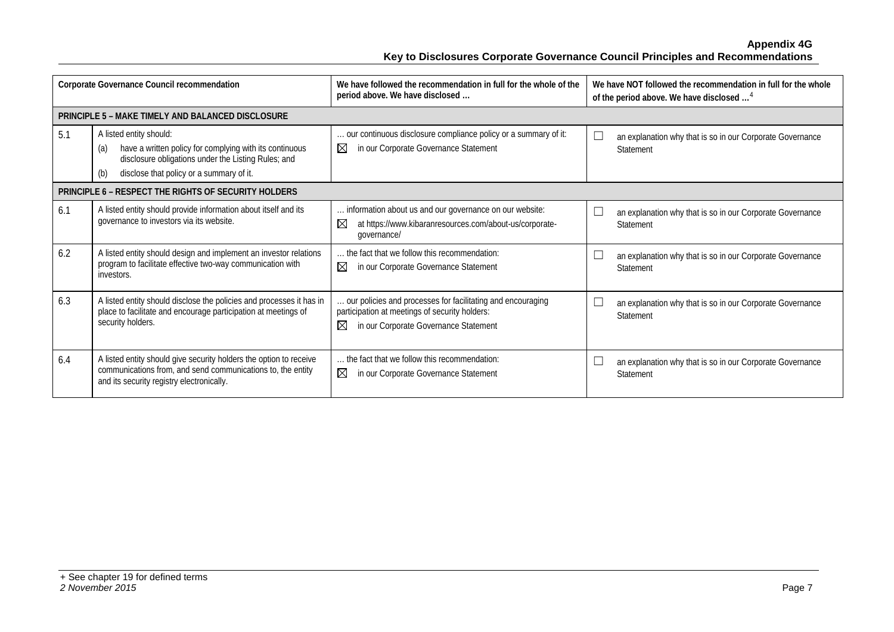| Corporate Governance Council recommendation                 |                                                                                                                                                                                                     | We have followed the recommendation in full for the whole of the<br>period above. We have disclosed                                                                   | We have NOT followed the recommendation in full for the whole<br>of the period above. We have disclosed <sup>4</sup> |
|-------------------------------------------------------------|-----------------------------------------------------------------------------------------------------------------------------------------------------------------------------------------------------|-----------------------------------------------------------------------------------------------------------------------------------------------------------------------|----------------------------------------------------------------------------------------------------------------------|
|                                                             | <b>PRINCIPLE 5 - MAKE TIMELY AND BALANCED DISCLOSURE</b>                                                                                                                                            |                                                                                                                                                                       |                                                                                                                      |
| 5.1                                                         | A listed entity should:<br>have a written policy for complying with its continuous<br>(a)<br>disclosure obligations under the Listing Rules; and<br>disclose that policy or a summary of it.<br>(b) | our continuous disclosure compliance policy or a summary of it:<br>⊠<br>in our Corporate Governance Statement                                                         | an explanation why that is so in our Corporate Governance<br>Statement                                               |
| <b>PRINCIPLE 6 - RESPECT THE RIGHTS OF SECURITY HOLDERS</b> |                                                                                                                                                                                                     |                                                                                                                                                                       |                                                                                                                      |
| 6.1                                                         | A listed entity should provide information about itself and its<br>governance to investors via its website.                                                                                         | information about us and our governance on our website:<br>$\boxtimes$<br>at https://www.kibaranresources.com/about-us/corporate-<br>qovernance/                      | an explanation why that is so in our Corporate Governance<br>Statement                                               |
| 6.2                                                         | A listed entity should design and implement an investor relations<br>program to facilitate effective two-way communication with<br>investors.                                                       | the fact that we follow this recommendation:<br>⊠<br>in our Corporate Governance Statement                                                                            | an explanation why that is so in our Corporate Governance<br>Statement                                               |
| 6.3                                                         | A listed entity should disclose the policies and processes it has in<br>place to facilitate and encourage participation at meetings of<br>security holders.                                         | our policies and processes for facilitating and encouraging<br>participation at meetings of security holders:<br>$\boxtimes$<br>in our Corporate Governance Statement | an explanation why that is so in our Corporate Governance<br>Statement                                               |
| 6.4                                                         | A listed entity should give security holders the option to receive<br>communications from, and send communications to, the entity<br>and its security registry electronically.                      | the fact that we follow this recommendation:<br>⊠<br>in our Corporate Governance Statement                                                                            | an explanation why that is so in our Corporate Governance<br>Statement                                               |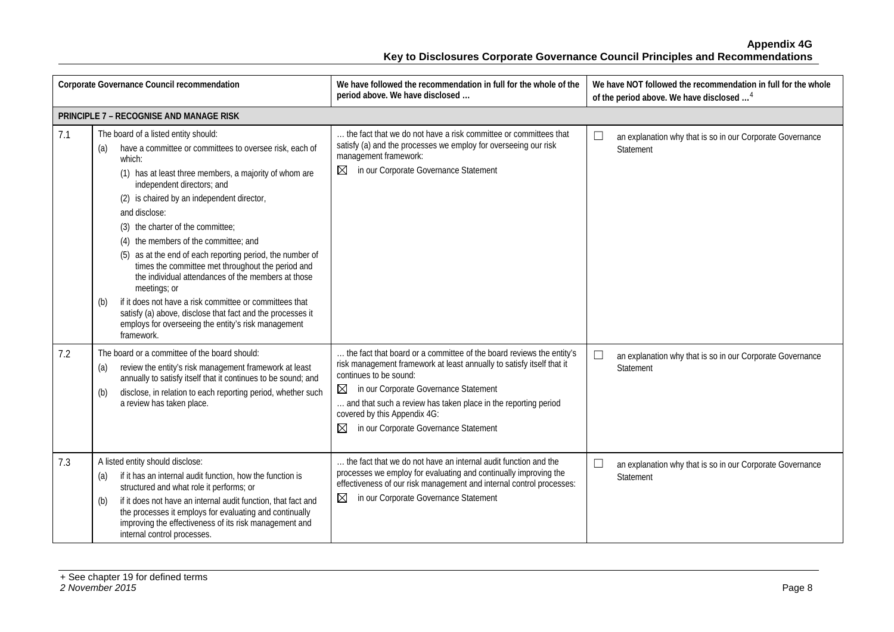| Corporate Governance Council recommendation |                                                                                                                                                                                                                                                                                                                                                                                                                                                                                                                                                                                                                                                                                                                                                    | We have followed the recommendation in full for the whole of the<br>period above. We have disclosed                                                                                                                                                                                                                                                                             | We have NOT followed the recommendation in full for the whole<br>of the period above. We have disclosed <sup>4</sup> |
|---------------------------------------------|----------------------------------------------------------------------------------------------------------------------------------------------------------------------------------------------------------------------------------------------------------------------------------------------------------------------------------------------------------------------------------------------------------------------------------------------------------------------------------------------------------------------------------------------------------------------------------------------------------------------------------------------------------------------------------------------------------------------------------------------------|---------------------------------------------------------------------------------------------------------------------------------------------------------------------------------------------------------------------------------------------------------------------------------------------------------------------------------------------------------------------------------|----------------------------------------------------------------------------------------------------------------------|
|                                             | PRINCIPLE 7 - RECOGNISE AND MANAGE RISK                                                                                                                                                                                                                                                                                                                                                                                                                                                                                                                                                                                                                                                                                                            |                                                                                                                                                                                                                                                                                                                                                                                 |                                                                                                                      |
| 7.1                                         | The board of a listed entity should:<br>have a committee or committees to oversee risk, each of<br>(a)<br>which:<br>(1) has at least three members, a majority of whom are<br>independent directors; and<br>(2) is chaired by an independent director,<br>and disclose:<br>(3) the charter of the committee;<br>(4) the members of the committee; and<br>(5) as at the end of each reporting period, the number of<br>times the committee met throughout the period and<br>the individual attendances of the members at those<br>meetings; or<br>if it does not have a risk committee or committees that<br>(b)<br>satisfy (a) above, disclose that fact and the processes it<br>employs for overseeing the entity's risk management<br>framework. | the fact that we do not have a risk committee or committees that<br>satisfy (a) and the processes we employ for overseeing our risk<br>management framework:<br>in our Corporate Governance Statement<br>⊠                                                                                                                                                                      | $\Box$<br>an explanation why that is so in our Corporate Governance<br>Statement                                     |
| 7.2                                         | The board or a committee of the board should:<br>review the entity's risk management framework at least<br>(a)<br>annually to satisfy itself that it continues to be sound; and<br>disclose, in relation to each reporting period, whether such<br>(b)<br>a review has taken place.                                                                                                                                                                                                                                                                                                                                                                                                                                                                | the fact that board or a committee of the board reviews the entity's<br>risk management framework at least annually to satisfy itself that it<br>continues to be sound:<br>in our Corporate Governance Statement<br>$\boxtimes$<br>and that such a review has taken place in the reporting period<br>covered by this Appendix 4G:<br>⊠<br>in our Corporate Governance Statement | $\Box$<br>an explanation why that is so in our Corporate Governance<br>Statement                                     |
| 7.3                                         | A listed entity should disclose:<br>if it has an internal audit function, how the function is<br>(a)<br>structured and what role it performs; or<br>if it does not have an internal audit function, that fact and<br>(b)<br>the processes it employs for evaluating and continually<br>improving the effectiveness of its risk management and<br>internal control processes.                                                                                                                                                                                                                                                                                                                                                                       | the fact that we do not have an internal audit function and the<br>processes we employ for evaluating and continually improving the<br>effectiveness of our risk management and internal control processes:<br>in our Corporate Governance Statement<br>⊠                                                                                                                       | $\Box$<br>an explanation why that is so in our Corporate Governance<br>Statement                                     |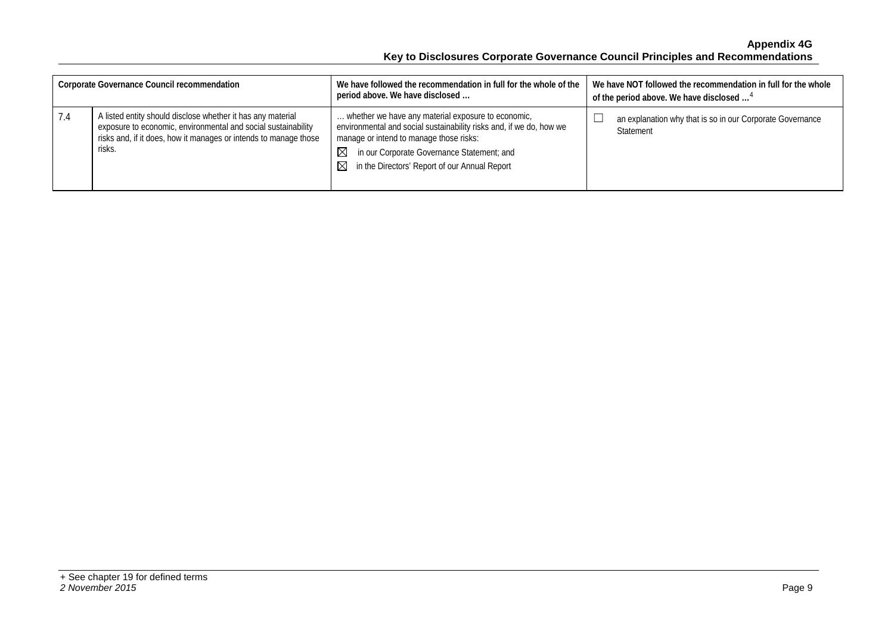| <b>Corporate Governance Council recommendation</b> |                                                                                                                                                                                                            | We have followed the recommendation in full for the whole of the<br>period above. We have disclosed                                                                                                                                                                           | We have NOT followed the recommendation in full for the whole<br>of the period above. We have disclosed <sup>4</sup> |
|----------------------------------------------------|------------------------------------------------------------------------------------------------------------------------------------------------------------------------------------------------------------|-------------------------------------------------------------------------------------------------------------------------------------------------------------------------------------------------------------------------------------------------------------------------------|----------------------------------------------------------------------------------------------------------------------|
| 7.4                                                | A listed entity should disclose whether it has any material<br>exposure to economic, environmental and social sustainability<br>risks and, if it does, how it manages or intends to manage those<br>risks. | whether we have any material exposure to economic,<br>environmental and social sustainability risks and, if we do, how we<br>manage or intend to manage those risks:<br>⊠<br>in our Corporate Governance Statement; and<br>in the Directors' Report of our Annual Report<br>⊠ | an explanation why that is so in our Corporate Governance<br>Statement                                               |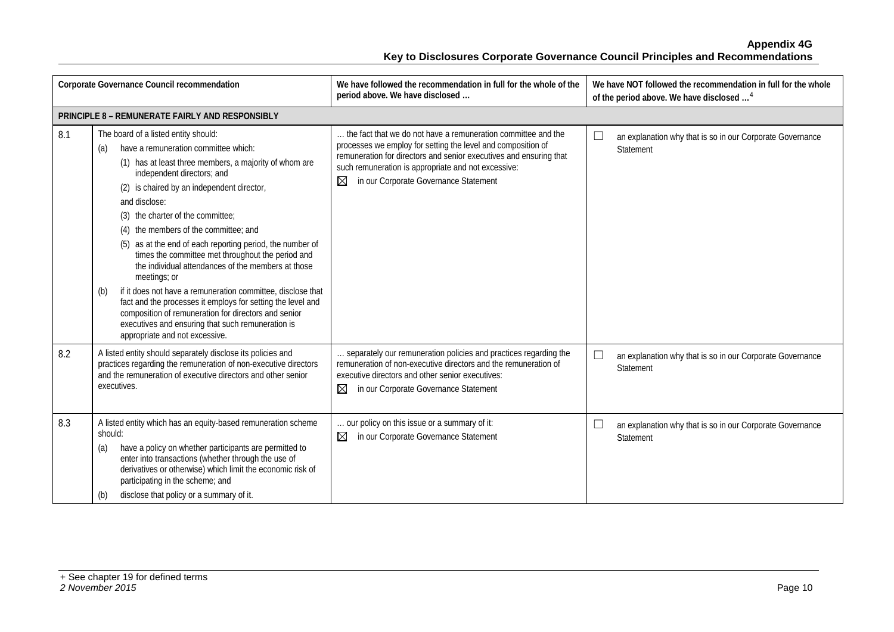|     | Corporate Governance Council recommendation                                                                                                                                                                                                                                                                                                                                                                                                                                                                                                                                                                                                                                                                                                                                                          | We have followed the recommendation in full for the whole of the<br>period above. We have disclosed                                                                                                                                                                                                      | We have NOT followed the recommendation in full for the whole<br>of the period above. We have disclosed <sup>4</sup> |
|-----|------------------------------------------------------------------------------------------------------------------------------------------------------------------------------------------------------------------------------------------------------------------------------------------------------------------------------------------------------------------------------------------------------------------------------------------------------------------------------------------------------------------------------------------------------------------------------------------------------------------------------------------------------------------------------------------------------------------------------------------------------------------------------------------------------|----------------------------------------------------------------------------------------------------------------------------------------------------------------------------------------------------------------------------------------------------------------------------------------------------------|----------------------------------------------------------------------------------------------------------------------|
|     | PRINCIPLE 8 - REMUNERATE FAIRLY AND RESPONSIBLY                                                                                                                                                                                                                                                                                                                                                                                                                                                                                                                                                                                                                                                                                                                                                      |                                                                                                                                                                                                                                                                                                          |                                                                                                                      |
| 8.1 | The board of a listed entity should:<br>have a remuneration committee which:<br>(a)<br>(1) has at least three members, a majority of whom are<br>independent directors; and<br>(2) is chaired by an independent director,<br>and disclose:<br>(3) the charter of the committee;<br>(4) the members of the committee; and<br>(5) as at the end of each reporting period, the number of<br>times the committee met throughout the period and<br>the individual attendances of the members at those<br>meetings; or<br>if it does not have a remuneration committee, disclose that<br>(b)<br>fact and the processes it employs for setting the level and<br>composition of remuneration for directors and senior<br>executives and ensuring that such remuneration is<br>appropriate and not excessive. | the fact that we do not have a remuneration committee and the<br>processes we employ for setting the level and composition of<br>remuneration for directors and senior executives and ensuring that<br>such remuneration is appropriate and not excessive:<br>⊠<br>in our Corporate Governance Statement | $\Box$<br>an explanation why that is so in our Corporate Governance<br>Statement                                     |
| 8.2 | A listed entity should separately disclose its policies and<br>practices regarding the remuneration of non-executive directors<br>and the remuneration of executive directors and other senior<br>executives.                                                                                                                                                                                                                                                                                                                                                                                                                                                                                                                                                                                        | separately our remuneration policies and practices regarding the<br>remuneration of non-executive directors and the remuneration of<br>executive directors and other senior executives:<br>⊠<br>in our Corporate Governance Statement                                                                    | $\Box$<br>an explanation why that is so in our Corporate Governance<br>Statement                                     |
| 8.3 | A listed entity which has an equity-based remuneration scheme<br>should:<br>have a policy on whether participants are permitted to<br>(a)<br>enter into transactions (whether through the use of<br>derivatives or otherwise) which limit the economic risk of<br>participating in the scheme; and<br>disclose that policy or a summary of it.<br>(b)                                                                                                                                                                                                                                                                                                                                                                                                                                                | our policy on this issue or a summary of it:<br>⊠<br>in our Corporate Governance Statement                                                                                                                                                                                                               | ∟<br>an explanation why that is so in our Corporate Governance<br>Statement                                          |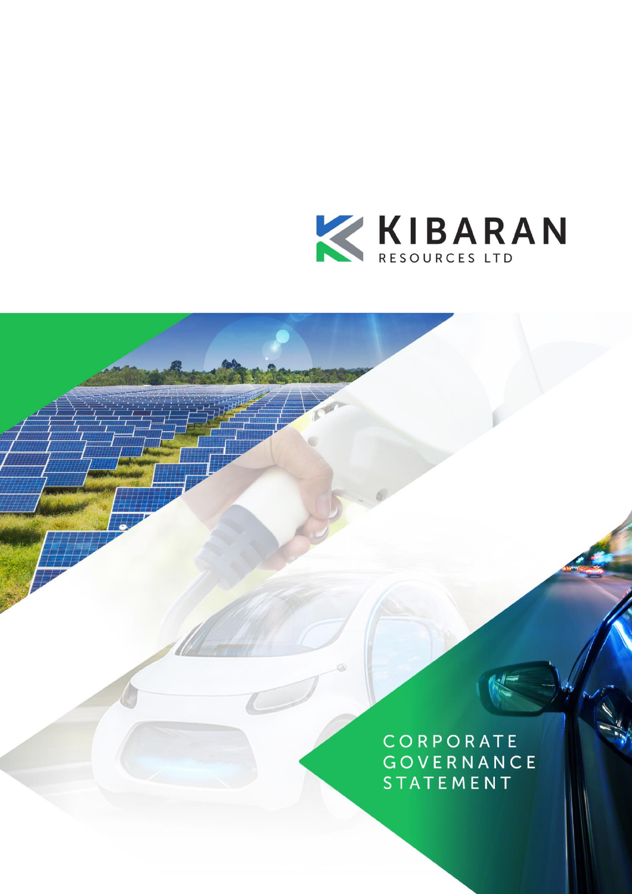

CORPORATE GOVERNANCE **STATEMENT**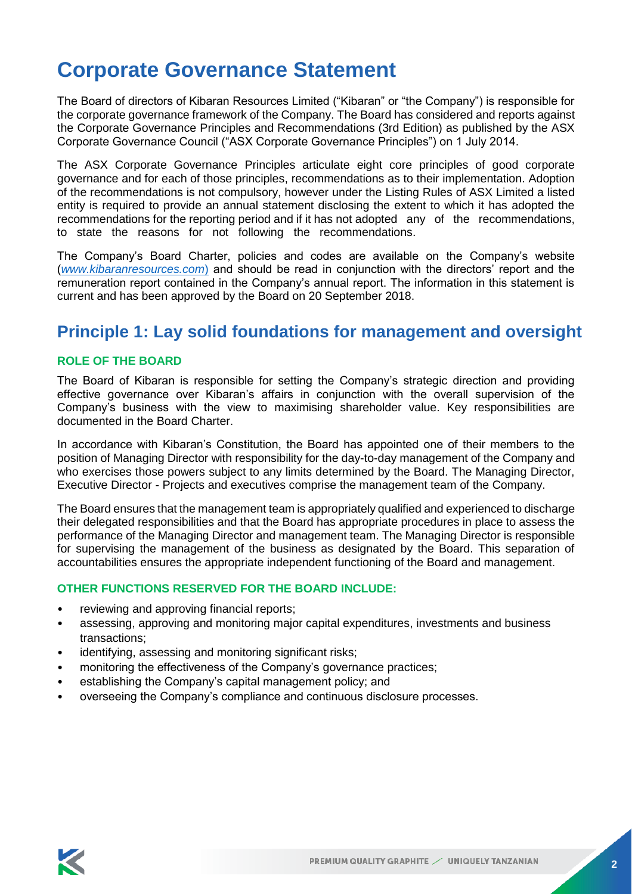# **Corporate Governance Statement**

The Board of directors of Kibaran Resources Limited ("Kibaran" or "the Company") is responsible for the corporate governance framework of the Company. The Board has considered and reports against the Corporate Governance Principles and Recommendations (3rd Edition) as published by the ASX Corporate Governance Council ("ASX Corporate Governance Principles") on 1 July 2014.

The ASX Corporate Governance Principles articulate eight core principles of good corporate governance and for each of those principles, recommendations as to their implementation. Adoption of the recommendations is not compulsory, however under the Listing Rules of ASX Limited a listed entity is required to provide an annual statement disclosing the extent to which it has adopted the recommendations for the reporting period and if it has not adopted any of the recommendations, to state the reasons for not following the recommendations.

The Company's Board Charter, policies and codes are available on the Company's website (*[www.kibaranresources.com](http://www.kibaranresources.com/)*) and should be read in conjunction with the directors' report and the remuneration report contained in the Company's annual report. The information in this statement is current and has been approved by the Board on 20 September 2018.

### **Principle 1: Lay solid foundations for management and oversight**

#### **ROLE OF THE BOARD**

The Board of Kibaran is responsible for setting the Company's strategic direction and providing effective governance over Kibaran's affairs in conjunction with the overall supervision of the Company's business with the view to maximising shareholder value. Key responsibilities are documented in the Board Charter.

In accordance with Kibaran's Constitution, the Board has appointed one of their members to the position of Managing Director with responsibility for the day-to-day management of the Company and who exercises those powers subject to any limits determined by the Board. The Managing Director, Executive Director - Projects and executives comprise the management team of the Company.

The Board ensures that the management team is appropriately qualified and experienced to discharge their delegated responsibilities and that the Board has appropriate procedures in place to assess the performance of the Managing Director and management team. The Managing Director is responsible for supervising the management of the business as designated by the Board. This separation of accountabilities ensures the appropriate independent functioning of the Board and management.

#### **OTHER FUNCTIONS RESERVED FOR THE BOARD INCLUDE:**

- reviewing and approving financial reports;
- assessing, approving and monitoring major capital expenditures, investments and business transactions;
- identifying, assessing and monitoring significant risks;
- monitoring the effectiveness of the Company's governance practices;
- establishing the Company's capital management policy; and
- overseeing the Company's compliance and continuous disclosure processes.

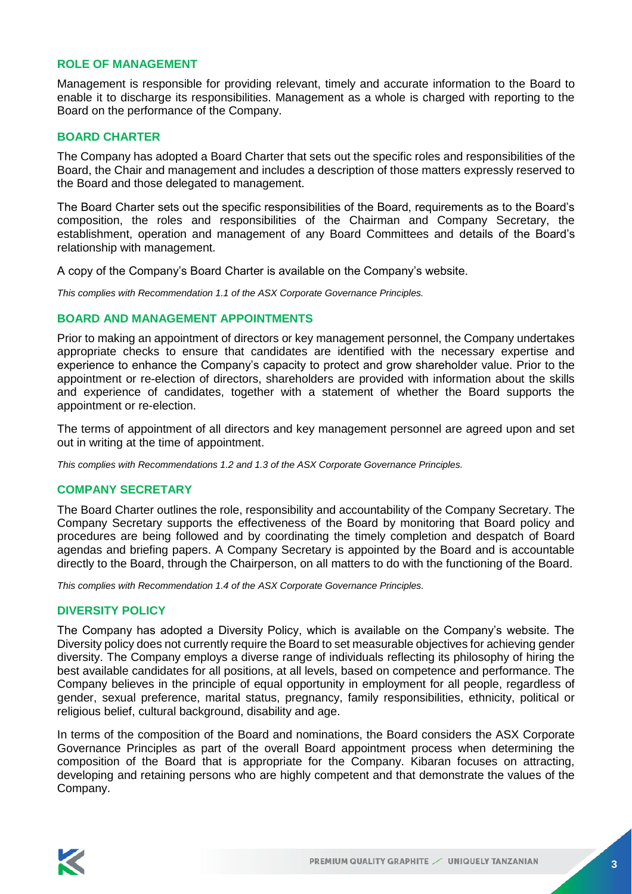#### **ROLE OF MANAGEMENT**

Management is responsible for providing relevant, timely and accurate information to the Board to enable it to discharge its responsibilities. Management as a whole is charged with reporting to the Board on the performance of the Company.

#### **BOARD CHARTER**

The Company has adopted a Board Charter that sets out the specific roles and responsibilities of the Board, the Chair and management and includes a description of those matters expressly reserved to the Board and those delegated to management.

The Board Charter sets out the specific responsibilities of the Board, requirements as to the Board's composition, the roles and responsibilities of the Chairman and Company Secretary, the establishment, operation and management of any Board Committees and details of the Board's relationship with management.

A copy of the Company's Board Charter is available on the Company's website.

*This complies with Recommendation 1.1 of the ASX Corporate Governance Principles.*

#### **BOARD AND MANAGEMENT APPOINTMENTS**

Prior to making an appointment of directors or key management personnel, the Company undertakes appropriate checks to ensure that candidates are identified with the necessary expertise and experience to enhance the Company's capacity to protect and grow shareholder value. Prior to the appointment or re-election of directors, shareholders are provided with information about the skills and experience of candidates, together with a statement of whether the Board supports the appointment or re-election.

The terms of appointment of all directors and key management personnel are agreed upon and set out in writing at the time of appointment.

*This complies with Recommendations 1.2 and 1.3 of the ASX Corporate Governance Principles.*

#### **COMPANY SECRETARY**

The Board Charter outlines the role, responsibility and accountability of the Company Secretary. The Company Secretary supports the effectiveness of the Board by monitoring that Board policy and procedures are being followed and by coordinating the timely completion and despatch of Board agendas and briefing papers. A Company Secretary is appointed by the Board and is accountable directly to the Board, through the Chairperson, on all matters to do with the functioning of the Board.

*This complies with Recommendation 1.4 of the ASX Corporate Governance Principles.*

#### **DIVERSITY POLICY**

The Company has adopted a Diversity Policy, which is available on the Company's website. The Diversity policy does not currently require the Board to set measurable objectives for achieving gender diversity. The Company employs a diverse range of individuals reflecting its philosophy of hiring the best available candidates for all positions, at all levels, based on competence and performance. The Company believes in the principle of equal opportunity in employment for all people, regardless of gender, sexual preference, marital status, pregnancy, family responsibilities, ethnicity, political or religious belief, cultural background, disability and age.

In terms of the composition of the Board and nominations, the Board considers the ASX Corporate Governance Principles as part of the overall Board appointment process when determining the composition of the Board that is appropriate for the Company. Kibaran focuses on attracting, developing and retaining persons who are highly competent and that demonstrate the values of the Company.

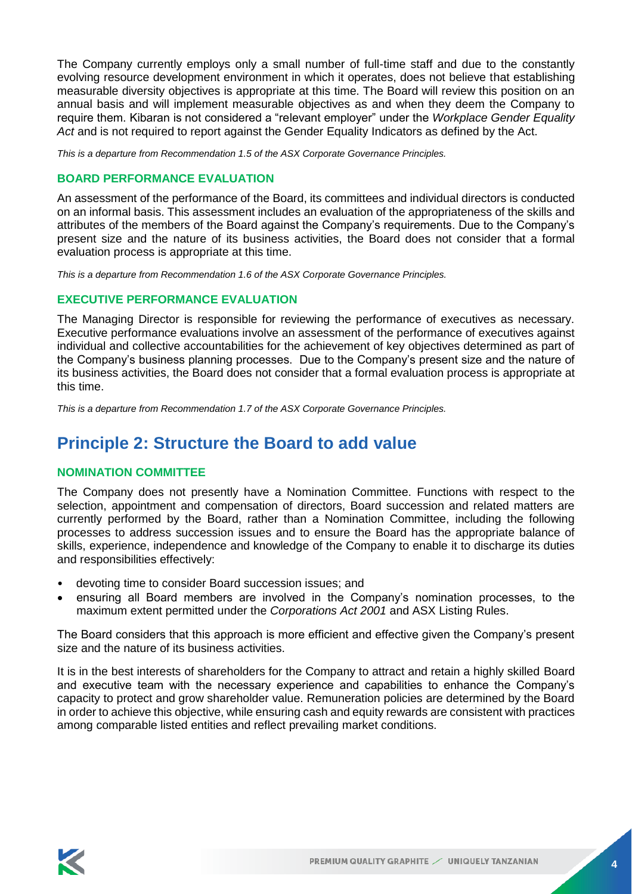The Company currently employs only a small number of full-time staff and due to the constantly evolving resource development environment in which it operates, does not believe that establishing measurable diversity objectives is appropriate at this time. The Board will review this position on an annual basis and will implement measurable objectives as and when they deem the Company to require them. Kibaran is not considered a "relevant employer" under the *Workplace Gender Equality Act* and is not required to report against the Gender Equality Indicators as defined by the Act.

*This is a departure from Recommendation 1.5 of the ASX Corporate Governance Principles.*

#### **BOARD PERFORMANCE EVALUATION**

An assessment of the performance of the Board, its committees and individual directors is conducted on an informal basis. This assessment includes an evaluation of the appropriateness of the skills and attributes of the members of the Board against the Company's requirements. Due to the Company's present size and the nature of its business activities, the Board does not consider that a formal evaluation process is appropriate at this time.

*This is a departure from Recommendation 1.6 of the ASX Corporate Governance Principles.*

#### **EXECUTIVE PERFORMANCE EVALUATION**

The Managing Director is responsible for reviewing the performance of executives as necessary. Executive performance evaluations involve an assessment of the performance of executives against individual and collective accountabilities for the achievement of key objectives determined as part of the Company's business planning processes. Due to the Company's present size and the nature of its business activities, the Board does not consider that a formal evaluation process is appropriate at this time.

*This is a departure from Recommendation 1.7 of the ASX Corporate Governance Principles.*

# **Principle 2: Structure the Board to add value**

#### **NOMINATION COMMITTEE**

The Company does not presently have a Nomination Committee. Functions with respect to the selection, appointment and compensation of directors, Board succession and related matters are currently performed by the Board, rather than a Nomination Committee, including the following processes to address succession issues and to ensure the Board has the appropriate balance of skills, experience, independence and knowledge of the Company to enable it to discharge its duties and responsibilities effectively:

- devoting time to consider Board succession issues; and
- ensuring all Board members are involved in the Company's nomination processes, to the maximum extent permitted under the *Corporations Act 2001* and ASX Listing Rules.

The Board considers that this approach is more efficient and effective given the Company's present size and the nature of its business activities.

It is in the best interests of shareholders for the Company to attract and retain a highly skilled Board and executive team with the necessary experience and capabilities to enhance the Company's capacity to protect and grow shareholder value. Remuneration policies are determined by the Board in order to achieve this objective, while ensuring cash and equity rewards are consistent with practices among comparable listed entities and reflect prevailing market conditions.

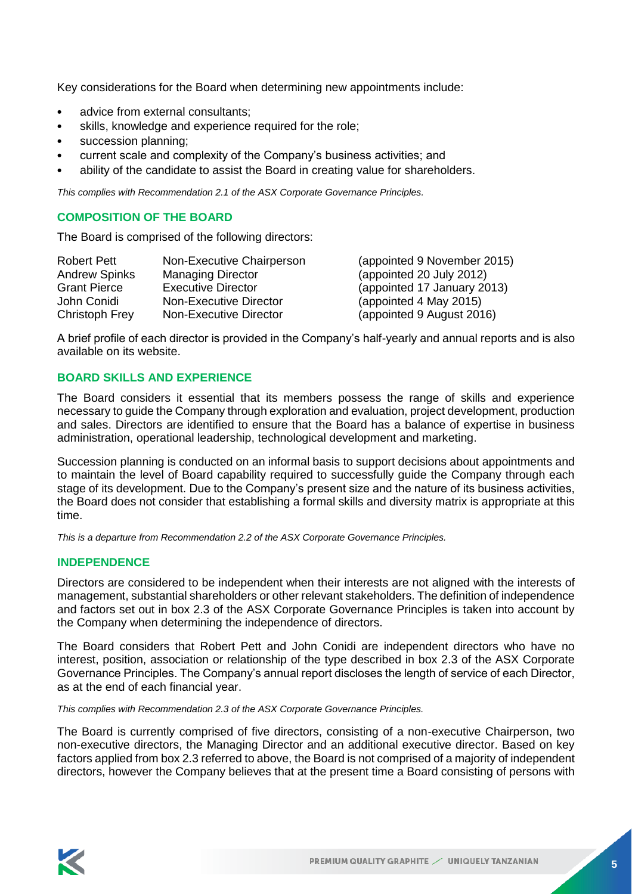Key considerations for the Board when determining new appointments include:

- advice from external consultants;
- skills, knowledge and experience required for the role;
- succession planning;
- current scale and complexity of the Company's business activities; and
- ability of the candidate to assist the Board in creating value for shareholders.

*This complies with Recommendation 2.1 of the ASX Corporate Governance Principles.*

#### **COMPOSITION OF THE BOARD**

The Board is comprised of the following directors:

| <b>Robert Pett</b>   | Non-Executive Chairperson | (appointed 9 November 2015) |
|----------------------|---------------------------|-----------------------------|
| <b>Andrew Spinks</b> | <b>Managing Director</b>  | (appointed 20 July 2012)    |
| <b>Grant Pierce</b>  | <b>Executive Director</b> | (appointed 17 January 2013) |
| John Conidi          | Non-Executive Director    | (appointed 4 May 2015)      |
| Christoph Frey       | Non-Executive Director    | (appointed 9 August 2016)   |

A brief profile of each director is provided in the Company's half-yearly and annual reports and is also available on its website.

#### **BOARD SKILLS AND EXPERIENCE**

The Board considers it essential that its members possess the range of skills and experience necessary to guide the Company through exploration and evaluation, project development, production and sales. Directors are identified to ensure that the Board has a balance of expertise in business administration, operational leadership, technological development and marketing.

Succession planning is conducted on an informal basis to support decisions about appointments and to maintain the level of Board capability required to successfully guide the Company through each stage of its development. Due to the Company's present size and the nature of its business activities, the Board does not consider that establishing a formal skills and diversity matrix is appropriate at this time.

*This is a departure from Recommendation 2.2 of the ASX Corporate Governance Principles.*

#### **INDEPENDENCE**

Directors are considered to be independent when their interests are not aligned with the interests of management, substantial shareholders or other relevant stakeholders. The definition of independence and factors set out in box 2.3 of the ASX Corporate Governance Principles is taken into account by the Company when determining the independence of directors.

The Board considers that Robert Pett and John Conidi are independent directors who have no interest, position, association or relationship of the type described in box 2.3 of the ASX Corporate Governance Principles. The Company's annual report discloses the length of service of each Director, as at the end of each financial year.

*This complies with Recommendation 2.3 of the ASX Corporate Governance Principles.*

The Board is currently comprised of five directors, consisting of a non-executive Chairperson, two non-executive directors, the Managing Director and an additional executive director. Based on key factors applied from box 2.3 referred to above, the Board is not comprised of a majority of independent directors, however the Company believes that at the present time a Board consisting of persons with

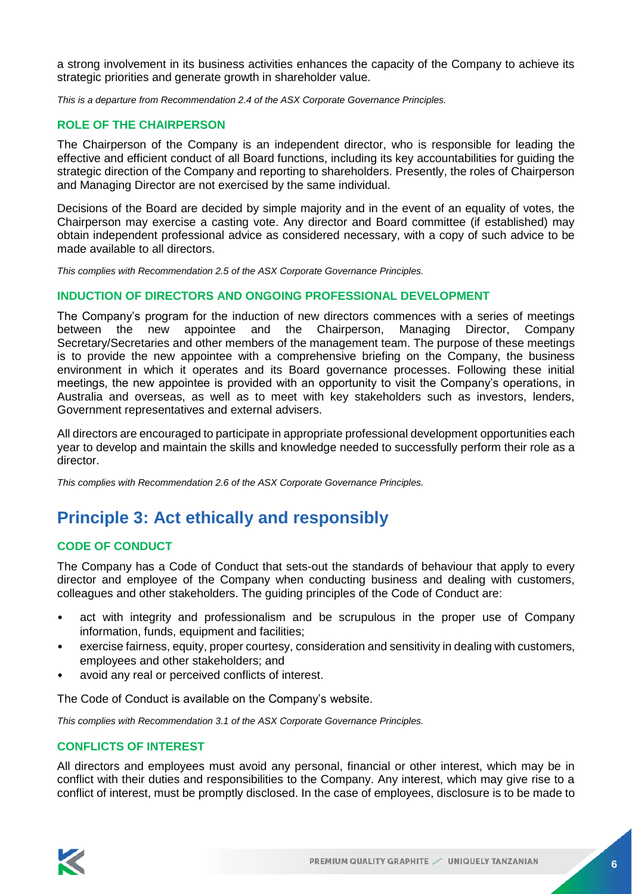a strong involvement in its business activities enhances the capacity of the Company to achieve its strategic priorities and generate growth in shareholder value.

*This is a departure from Recommendation 2.4 of the ASX Corporate Governance Principles.*

#### **ROLE OF THE CHAIRPERSON**

The Chairperson of the Company is an independent director, who is responsible for leading the effective and efficient conduct of all Board functions, including its key accountabilities for guiding the strategic direction of the Company and reporting to shareholders. Presently, the roles of Chairperson and Managing Director are not exercised by the same individual.

Decisions of the Board are decided by simple majority and in the event of an equality of votes, the Chairperson may exercise a casting vote. Any director and Board committee (if established) may obtain independent professional advice as considered necessary, with a copy of such advice to be made available to all directors.

*This complies with Recommendation 2.5 of the ASX Corporate Governance Principles.*

#### **INDUCTION OF DIRECTORS AND ONGOING PROFESSIONAL DEVELOPMENT**

The Company's program for the induction of new directors commences with a series of meetings between the new appointee and the Chairperson, Managing Director, Company Secretary/Secretaries and other members of the management team. The purpose of these meetings is to provide the new appointee with a comprehensive briefing on the Company, the business environment in which it operates and its Board governance processes. Following these initial meetings, the new appointee is provided with an opportunity to visit the Company's operations, in Australia and overseas, as well as to meet with key stakeholders such as investors, lenders, Government representatives and external advisers.

All directors are encouraged to participate in appropriate professional development opportunities each year to develop and maintain the skills and knowledge needed to successfully perform their role as a director.

*This complies with Recommendation 2.6 of the ASX Corporate Governance Principles.*

# **Principle 3: Act ethically and responsibly**

#### **CODE OF CONDUCT**

The Company has a Code of Conduct that sets-out the standards of behaviour that apply to every director and employee of the Company when conducting business and dealing with customers, colleagues and other stakeholders. The guiding principles of the Code of Conduct are:

- act with integrity and professionalism and be scrupulous in the proper use of Company information, funds, equipment and facilities;
- exercise fairness, equity, proper courtesy, consideration and sensitivity in dealing with customers, employees and other stakeholders; and
- avoid any real or perceived conflicts of interest.

The Code of Conduct is available on the Company's website.

*This complies with Recommendation 3.1 of the ASX Corporate Governance Principles.*

#### **CONFLICTS OF INTEREST**

All directors and employees must avoid any personal, financial or other interest, which may be in conflict with their duties and responsibilities to the Company. Any interest, which may give rise to a conflict of interest, must be promptly disclosed. In the case of employees, disclosure is to be made to

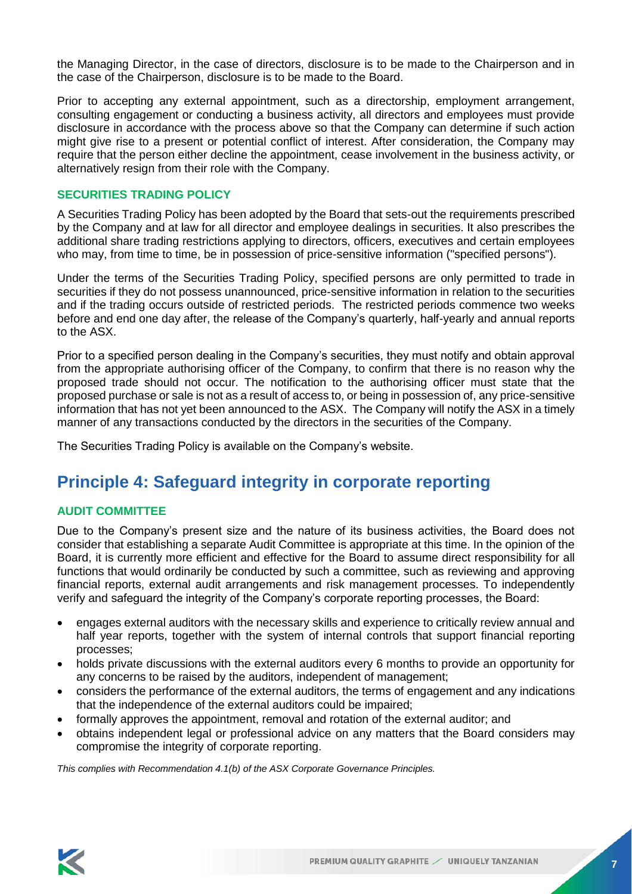the Managing Director, in the case of directors, disclosure is to be made to the Chairperson and in the case of the Chairperson, disclosure is to be made to the Board.

Prior to accepting any external appointment, such as a directorship, employment arrangement, consulting engagement or conducting a business activity, all directors and employees must provide disclosure in accordance with the process above so that the Company can determine if such action might give rise to a present or potential conflict of interest. After consideration, the Company may require that the person either decline the appointment, cease involvement in the business activity, or alternatively resign from their role with the Company.

#### **SECURITIES TRADING POLICY**

A Securities Trading Policy has been adopted by the Board that sets-out the requirements prescribed by the Company and at law for all director and employee dealings in securities. It also prescribes the additional share trading restrictions applying to directors, officers, executives and certain employees who may, from time to time, be in possession of price-sensitive information ("specified persons").

Under the terms of the Securities Trading Policy, specified persons are only permitted to trade in securities if they do not possess unannounced, price-sensitive information in relation to the securities and if the trading occurs outside of restricted periods. The restricted periods commence two weeks before and end one day after, the release of the Company's quarterly, half-yearly and annual reports to the ASX.

Prior to a specified person dealing in the Company's securities, they must notify and obtain approval from the appropriate authorising officer of the Company, to confirm that there is no reason why the proposed trade should not occur. The notification to the authorising officer must state that the proposed purchase or sale is not as a result of access to, or being in possession of, any price-sensitive information that has not yet been announced to the ASX. The Company will notify the ASX in a timely manner of any transactions conducted by the directors in the securities of the Company.

The Securities Trading Policy is available on the Company's website.

### **Principle 4: Safeguard integrity in corporate reporting**

#### **AUDIT COMMITTEE**

Due to the Company's present size and the nature of its business activities, the Board does not consider that establishing a separate Audit Committee is appropriate at this time. In the opinion of the Board, it is currently more efficient and effective for the Board to assume direct responsibility for all functions that would ordinarily be conducted by such a committee, such as reviewing and approving financial reports, external audit arrangements and risk management processes. To independently verify and safeguard the integrity of the Company's corporate reporting processes, the Board:

- engages external auditors with the necessary skills and experience to critically review annual and half year reports, together with the system of internal controls that support financial reporting processes;
- holds private discussions with the external auditors every 6 months to provide an opportunity for any concerns to be raised by the auditors, independent of management;
- considers the performance of the external auditors, the terms of engagement and any indications that the independence of the external auditors could be impaired;
- formally approves the appointment, removal and rotation of the external auditor; and
- obtains independent legal or professional advice on any matters that the Board considers may compromise the integrity of corporate reporting.

*This complies with Recommendation 4.1(b) of the ASX Corporate Governance Principles.*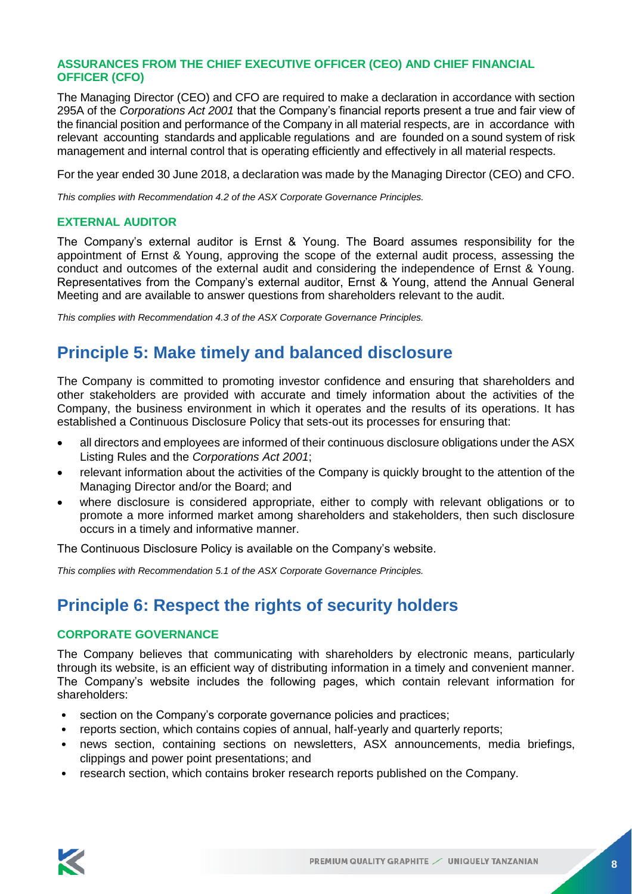#### **ASSURANCES FROM THE CHIEF EXECUTIVE OFFICER (CEO) AND CHIEF FINANCIAL OFFICER (CFO)**

The Managing Director (CEO) and CFO are required to make a declaration in accordance with section 295A of the *Corporations Act 2001* that the Company's financial reports present a true and fair view of the financial position and performance of the Company in all material respects, are in accordance with relevant accounting standards and applicable regulations and are founded on a sound system of risk management and internal control that is operating efficiently and effectively in all material respects.

For the year ended 30 June 2018, a declaration was made by the Managing Director (CEO) and CFO.

*This complies with Recommendation 4.2 of the ASX Corporate Governance Principles.*

#### **EXTERNAL AUDITOR**

The Company's external auditor is Ernst & Young. The Board assumes responsibility for the appointment of Ernst & Young, approving the scope of the external audit process, assessing the conduct and outcomes of the external audit and considering the independence of Ernst & Young. Representatives from the Company's external auditor, Ernst & Young, attend the Annual General Meeting and are available to answer questions from shareholders relevant to the audit.

*This complies with Recommendation 4.3 of the ASX Corporate Governance Principles.*

### **Principle 5: Make timely and balanced disclosure**

The Company is committed to promoting investor confidence and ensuring that shareholders and other stakeholders are provided with accurate and timely information about the activities of the Company, the business environment in which it operates and the results of its operations. It has established a Continuous Disclosure Policy that sets-out its processes for ensuring that:

- all directors and employees are informed of their continuous disclosure obligations under the ASX Listing Rules and the *Corporations Act 2001*;
- relevant information about the activities of the Company is quickly brought to the attention of the Managing Director and/or the Board; and
- where disclosure is considered appropriate, either to comply with relevant obligations or to promote a more informed market among shareholders and stakeholders, then such disclosure occurs in a timely and informative manner.

The Continuous Disclosure Policy is available on the Company's website.

*This complies with Recommendation 5.1 of the ASX Corporate Governance Principles.*

# **Principle 6: Respect the rights of security holders**

### **CORPORATE GOVERNANCE**

The Company believes that communicating with shareholders by electronic means, particularly through its website, is an efficient way of distributing information in a timely and convenient manner. The Company's website includes the following pages, which contain relevant information for shareholders:

- section on the Company's corporate governance policies and practices;
- reports section, which contains copies of annual, half-yearly and quarterly reports;
- news section, containing sections on newsletters, ASX announcements, media briefings, clippings and power point presentations; and
- research section, which contains broker research reports published on the Company.

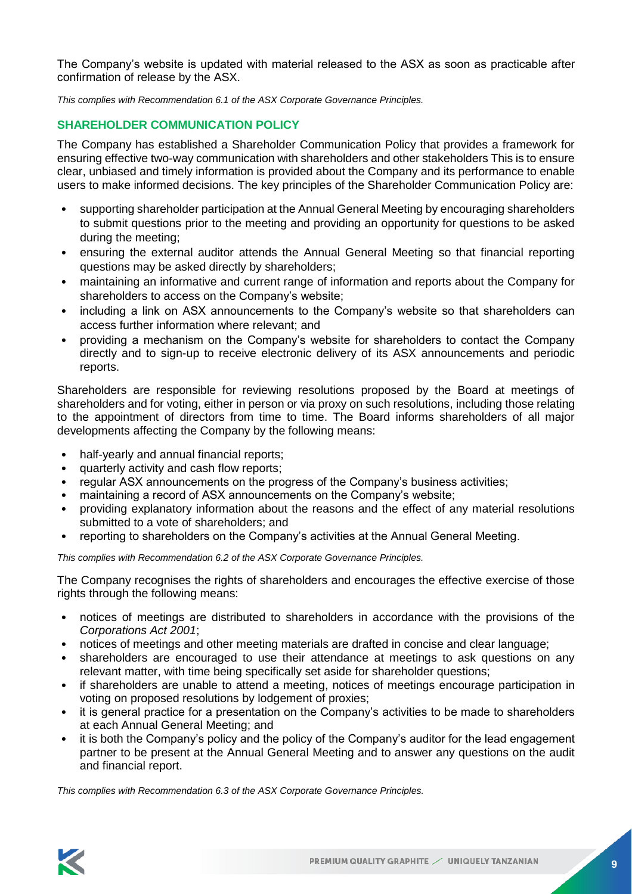The Company's website is updated with material released to the ASX as soon as practicable after confirmation of release by the ASX.

*This complies with Recommendation 6.1 of the ASX Corporate Governance Principles.*

#### **SHAREHOLDER COMMUNICATION POLICY**

The Company has established a Shareholder Communication Policy that provides a framework for ensuring effective two-way communication with shareholders and other stakeholders This is to ensure clear, unbiased and timely information is provided about the Company and its performance to enable users to make informed decisions. The key principles of the Shareholder Communication Policy are:

- supporting shareholder participation at the Annual General Meeting by encouraging shareholders to submit questions prior to the meeting and providing an opportunity for questions to be asked during the meeting;
- ensuring the external auditor attends the Annual General Meeting so that financial reporting questions may be asked directly by shareholders;
- maintaining an informative and current range of information and reports about the Company for shareholders to access on the Company's website;
- including a link on ASX announcements to the Company's website so that shareholders can access further information where relevant; and
- providing a mechanism on the Company's website for shareholders to contact the Company directly and to sign-up to receive electronic delivery of its ASX announcements and periodic reports.

Shareholders are responsible for reviewing resolutions proposed by the Board at meetings of shareholders and for voting, either in person or via proxy on such resolutions, including those relating to the appointment of directors from time to time. The Board informs shareholders of all major developments affecting the Company by the following means:

- half-yearly and annual financial reports;
- quarterly activity and cash flow reports;
- regular ASX announcements on the progress of the Company's business activities;
- maintaining a record of ASX announcements on the Company's website;
- providing explanatory information about the reasons and the effect of any material resolutions submitted to a vote of shareholders; and
- reporting to shareholders on the Company's activities at the Annual General Meeting.

*This complies with Recommendation 6.2 of the ASX Corporate Governance Principles.*

The Company recognises the rights of shareholders and encourages the effective exercise of those rights through the following means:

- notices of meetings are distributed to shareholders in accordance with the provisions of the *Corporations Act 2001*;
- notices of meetings and other meeting materials are drafted in concise and clear language;
- shareholders are encouraged to use their attendance at meetings to ask questions on any relevant matter, with time being specifically set aside for shareholder questions;
- if shareholders are unable to attend a meeting, notices of meetings encourage participation in voting on proposed resolutions by lodgement of proxies;
- it is general practice for a presentation on the Company's activities to be made to shareholders at each Annual General Meeting; and
- it is both the Company's policy and the policy of the Company's auditor for the lead engagement partner to be present at the Annual General Meeting and to answer any questions on the audit and financial report.

*This complies with Recommendation 6.3 of the ASX Corporate Governance Principles.*

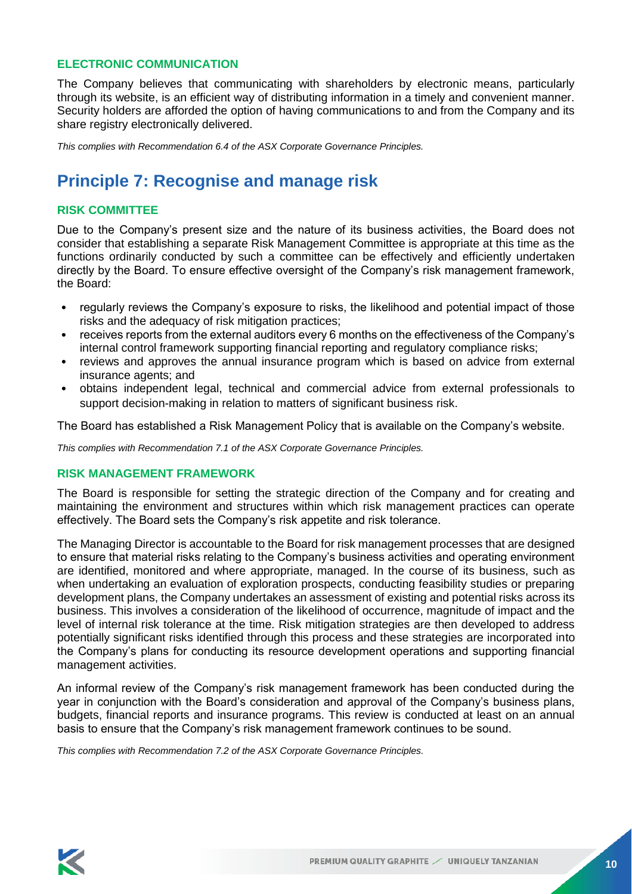#### **ELECTRONIC COMMUNICATION**

The Company believes that communicating with shareholders by electronic means, particularly through its website, is an efficient way of distributing information in a timely and convenient manner. Security holders are afforded the option of having communications to and from the Company and its share registry electronically delivered.

*This complies with Recommendation 6.4 of the ASX Corporate Governance Principles.*

### **Principle 7: Recognise and manage risk**

#### **RISK COMMITTEE**

Due to the Company's present size and the nature of its business activities, the Board does not consider that establishing a separate Risk Management Committee is appropriate at this time as the functions ordinarily conducted by such a committee can be effectively and efficiently undertaken directly by the Board. To ensure effective oversight of the Company's risk management framework, the Board:

- regularly reviews the Company's exposure to risks, the likelihood and potential impact of those risks and the adequacy of risk mitigation practices;
- receives reports from the external auditors every 6 months on the effectiveness of the Company's internal control framework supporting financial reporting and regulatory compliance risks;
- reviews and approves the annual insurance program which is based on advice from external insurance agents; and
- obtains independent legal, technical and commercial advice from external professionals to support decision-making in relation to matters of significant business risk.

The Board has established a Risk Management Policy that is available on the Company's website.

*This complies with Recommendation 7.1 of the ASX Corporate Governance Principles.*

#### **RISK MANAGEMENT FRAMEWORK**

The Board is responsible for setting the strategic direction of the Company and for creating and maintaining the environment and structures within which risk management practices can operate effectively. The Board sets the Company's risk appetite and risk tolerance.

The Managing Director is accountable to the Board for risk management processes that are designed to ensure that material risks relating to the Company's business activities and operating environment are identified, monitored and where appropriate, managed. In the course of its business, such as when undertaking an evaluation of exploration prospects, conducting feasibility studies or preparing development plans, the Company undertakes an assessment of existing and potential risks across its business. This involves a consideration of the likelihood of occurrence, magnitude of impact and the level of internal risk tolerance at the time. Risk mitigation strategies are then developed to address potentially significant risks identified through this process and these strategies are incorporated into the Company's plans for conducting its resource development operations and supporting financial management activities.

An informal review of the Company's risk management framework has been conducted during the year in conjunction with the Board's consideration and approval of the Company's business plans, budgets, financial reports and insurance programs. This review is conducted at least on an annual basis to ensure that the Company's risk management framework continues to be sound.

*This complies with Recommendation 7.2 of the ASX Corporate Governance Principles.*

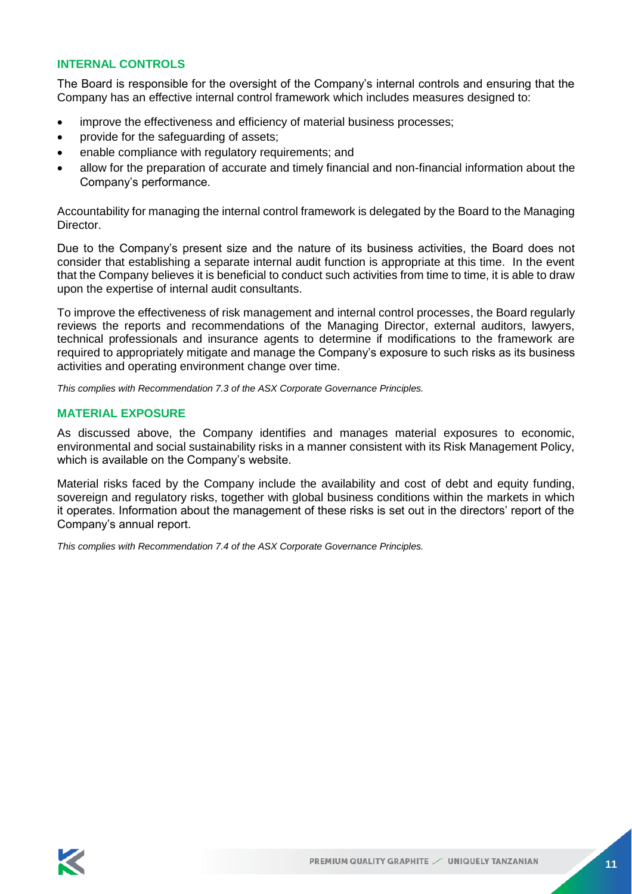#### **INTERNAL CONTROLS**

The Board is responsible for the oversight of the Company's internal controls and ensuring that the Company has an effective internal control framework which includes measures designed to:

- improve the effectiveness and efficiency of material business processes;
- provide for the safeguarding of assets;
- enable compliance with regulatory requirements; and
- allow for the preparation of accurate and timely financial and non-financial information about the Company's performance.

Accountability for managing the internal control framework is delegated by the Board to the Managing Director.

Due to the Company's present size and the nature of its business activities, the Board does not consider that establishing a separate internal audit function is appropriate at this time. In the event that the Company believes it is beneficial to conduct such activities from time to time, it is able to draw upon the expertise of internal audit consultants.

To improve the effectiveness of risk management and internal control processes, the Board regularly reviews the reports and recommendations of the Managing Director, external auditors, lawyers, technical professionals and insurance agents to determine if modifications to the framework are required to appropriately mitigate and manage the Company's exposure to such risks as its business activities and operating environment change over time.

*This complies with Recommendation 7.3 of the ASX Corporate Governance Principles.*

#### **MATERIAL EXPOSURE**

As discussed above, the Company identifies and manages material exposures to economic, environmental and social sustainability risks in a manner consistent with its Risk Management Policy, which is available on the Company's website.

Material risks faced by the Company include the availability and cost of debt and equity funding, sovereign and regulatory risks, together with global business conditions within the markets in which it operates. Information about the management of these risks is set out in the directors' report of the Company's annual report.

*This complies with Recommendation 7.4 of the ASX Corporate Governance Principles.*